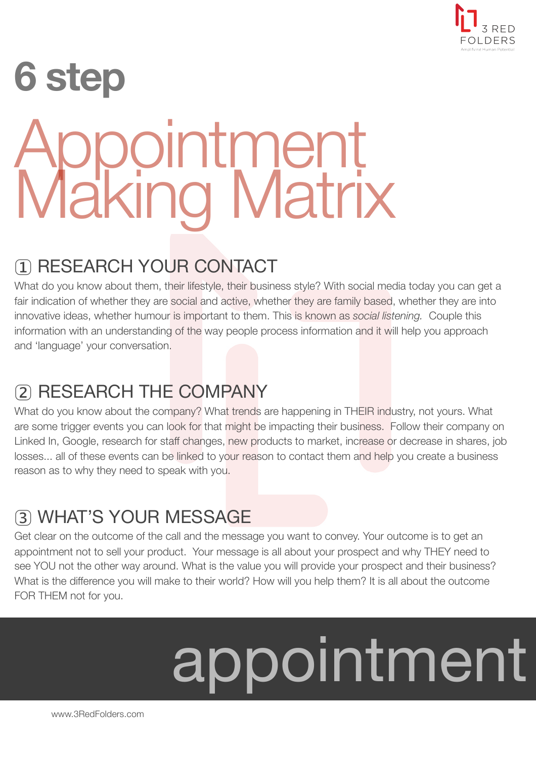

### **6 step** Appointment Making Matrix

### 1 RESEARCH YOUR CONTACT

What do you know about them, their lifestyle, their business style? With social media today you can get a fair indication of whether they are social and active, whether they are family based, whether they are into innovative ideas, whether humour is important to them. This is known as *social listening.* Couple this information with an understanding of the way people process information and it will help you approach and 'language' your conversation.

#### 2 RESEARCH THE COMPANY

What do you know about the company? What trends are happening in THEIR industry, not yours. What are some trigger events you can look for that might be impacting their business. Follow their company on Linked In, Google, research for staff changes, new products to market, increase or decrease in shares, job losses... all of these events can be linked to your reason to contact them and help you create a business reason as to why they need to speak with you.

### 3 WHAT'S YOUR MESSAGE

Get clear on the outcome of the call and the message you want to convey. Your outcome is to get an appointment not to sell your product. Your message is all about your prospect and why THEY need to see YOU not the other way around. What is the value you will provide your prospect and their business? What is the difference you will make to their world? How will you help them? It is all about the outcome FOR THEM not for you.

# appointment